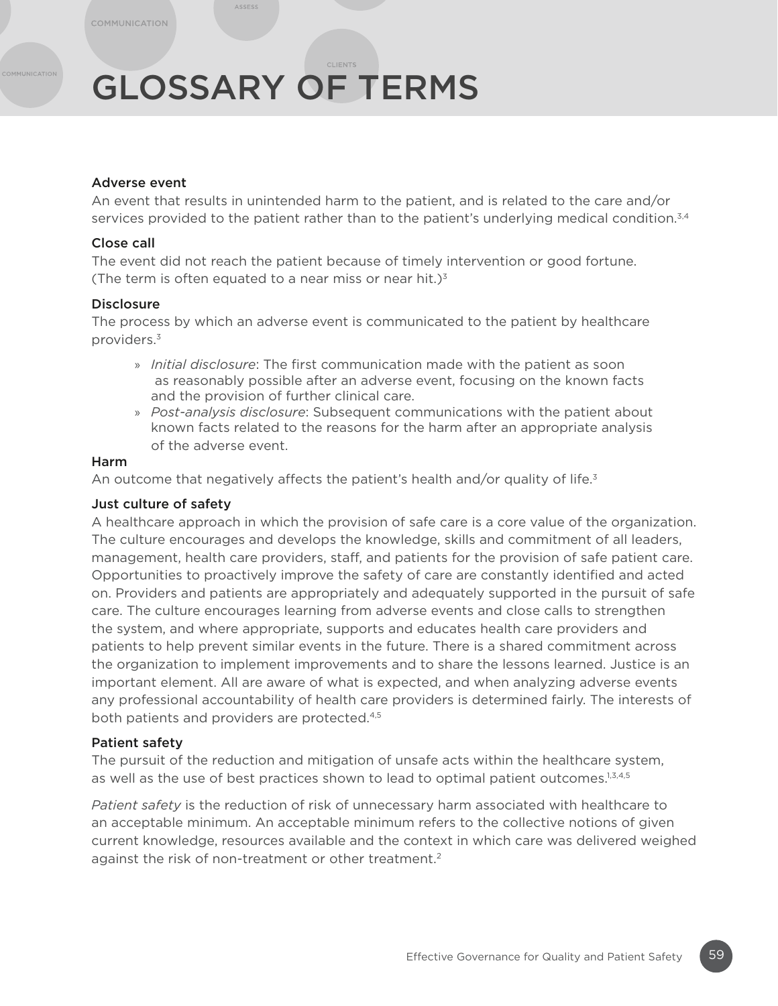# GLOSSARY OF TERMS

# Adverse event

An event that results in unintended harm to the patient, and is related to the care and/or services provided to the patient rather than to the patient's underlying medical condition.<sup>3,4</sup>

# Close call

The event did not reach the patient because of timely intervention or good fortune. (The term is often equated to a near miss or near hit.) $3<sup>3</sup>$ 

# **Disclosure**

The process by which an adverse event is communicated to the patient by healthcare providers.3

- » *Initial disclosure*: The first communication made with the patient as soon as reasonably possible after an adverse event, focusing on the known facts and the provision of further clinical care.
- » *Post-analysis disclosure*: Subsequent communications with the patient about known facts related to the reasons for the harm after an appropriate analysis of the adverse event.

# Harm

An outcome that negatively affects the patient's health and/or quality of life. $3$ 

# Just culture of safety

A healthcare approach in which the provision of safe care is a core value of the organization. The culture encourages and develops the knowledge, skills and commitment of all leaders, management, health care providers, staff, and patients for the provision of safe patient care. Opportunities to proactively improve the safety of care are constantly identified and acted on. Providers and patients are appropriately and adequately supported in the pursuit of safe care. The culture encourages learning from adverse events and close calls to strengthen the system, and where appropriate, supports and educates health care providers and patients to help prevent similar events in the future. There is a shared commitment across the organization to implement improvements and to share the lessons learned. Justice is an important element. All are aware of what is expected, and when analyzing adverse events any professional accountability of health care providers is determined fairly. The interests of both patients and providers are protected.<sup>4,5</sup>

#### Patient safety

The pursuit of the reduction and mitigation of unsafe acts within the healthcare system, as well as the use of best practices shown to lead to optimal patient outcomes. $1,3,4,5$ 

*Patient safety* is the reduction of risk of unnecessary harm associated with healthcare to an acceptable minimum. An acceptable minimum refers to the collective notions of given current knowledge, resources available and the context in which care was delivered weighed against the risk of non-treatment or other treatment.<sup>2</sup>